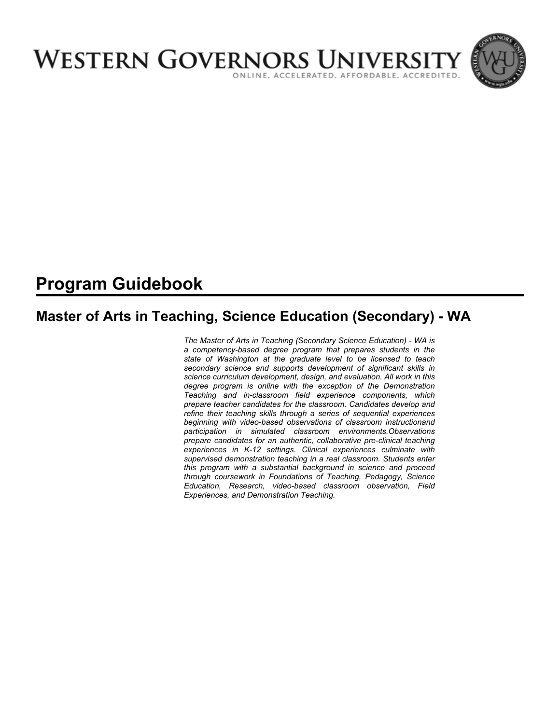

# **Program Guidebook**

# **Master of Arts in Teaching, Science Education (Secondary) - WA**

*The Master of Arts in Teaching (Secondary Science Education) - WA is a competency-based degree program that prepares students in the state of Washington at the graduate level to be licensed to teach secondary science and supports development of significant skills in science curriculum development, design, and evaluation. All work in this degree program is online with the exception of the Demonstration Teaching and in-classroom field experience components, which prepare teacher candidates for the classroom. Candidates develop and refine their teaching skills through a series of sequential experiences beginning with video-based observations of classroom instructionand participation in simulated classroom environments.Observations prepare candidates for an authentic, collaborative pre-clinical teaching experiences in K-12 settings. Clinical experiences culminate with supervised demonstration teaching in a real classroom. Students enter this program with a substantial background in science and proceed through coursework in Foundations of Teaching, Pedagogy, Science Education, Research, video-based classroom observation, Field Experiences, and Demonstration Teaching.*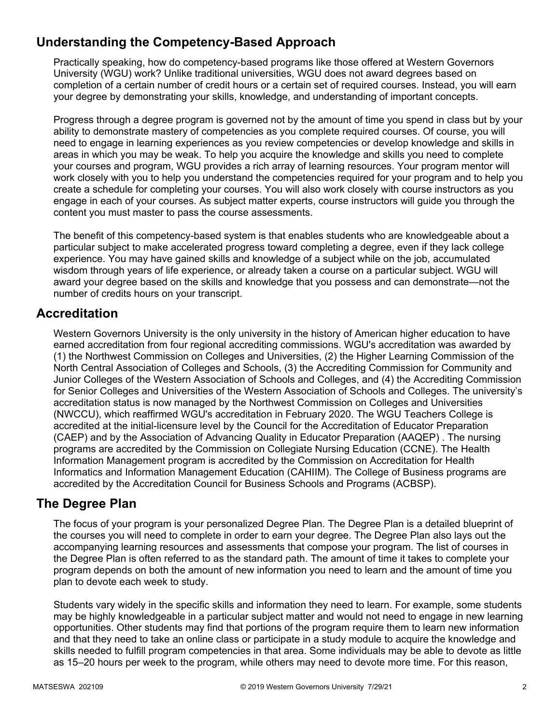# **Understanding the Competency-Based Approach**

Practically speaking, how do competency-based programs like those offered at Western Governors University (WGU) work? Unlike traditional universities, WGU does not award degrees based on completion of a certain number of credit hours or a certain set of required courses. Instead, you will earn your degree by demonstrating your skills, knowledge, and understanding of important concepts.

Progress through a degree program is governed not by the amount of time you spend in class but by your ability to demonstrate mastery of competencies as you complete required courses. Of course, you will need to engage in learning experiences as you review competencies or develop knowledge and skills in areas in which you may be weak. To help you acquire the knowledge and skills you need to complete your courses and program, WGU provides a rich array of learning resources. Your program mentor will work closely with you to help you understand the competencies required for your program and to help you create a schedule for completing your courses. You will also work closely with course instructors as you engage in each of your courses. As subject matter experts, course instructors will guide you through the content you must master to pass the course assessments.

The benefit of this competency-based system is that enables students who are knowledgeable about a particular subject to make accelerated progress toward completing a degree, even if they lack college experience. You may have gained skills and knowledge of a subject while on the job, accumulated wisdom through years of life experience, or already taken a course on a particular subject. WGU will award your degree based on the skills and knowledge that you possess and can demonstrate—not the number of credits hours on your transcript.

### **Accreditation**

Western Governors University is the only university in the history of American higher education to have earned accreditation from four regional accrediting commissions. WGU's accreditation was awarded by (1) the Northwest Commission on Colleges and Universities, (2) the Higher Learning Commission of the North Central Association of Colleges and Schools, (3) the Accrediting Commission for Community and Junior Colleges of the Western Association of Schools and Colleges, and (4) the Accrediting Commission for Senior Colleges and Universities of the Western Association of Schools and Colleges. The university's accreditation status is now managed by the Northwest Commission on Colleges and Universities (NWCCU), which reaffirmed WGU's accreditation in February 2020. The WGU Teachers College is accredited at the initial-licensure level by the Council for the Accreditation of Educator Preparation (CAEP) and by the Association of Advancing Quality in Educator Preparation (AAQEP) . The nursing programs are accredited by the Commission on Collegiate Nursing Education (CCNE). The Health Information Management program is accredited by the Commission on Accreditation for Health Informatics and Information Management Education (CAHIIM). The College of Business programs are accredited by the Accreditation Council for Business Schools and Programs (ACBSP).

### **The Degree Plan**

The focus of your program is your personalized Degree Plan. The Degree Plan is a detailed blueprint of the courses you will need to complete in order to earn your degree. The Degree Plan also lays out the accompanying learning resources and assessments that compose your program. The list of courses in the Degree Plan is often referred to as the standard path. The amount of time it takes to complete your program depends on both the amount of new information you need to learn and the amount of time you plan to devote each week to study.

Students vary widely in the specific skills and information they need to learn. For example, some students may be highly knowledgeable in a particular subject matter and would not need to engage in new learning opportunities. Other students may find that portions of the program require them to learn new information and that they need to take an online class or participate in a study module to acquire the knowledge and skills needed to fulfill program competencies in that area. Some individuals may be able to devote as little as 15–20 hours per week to the program, while others may need to devote more time. For this reason,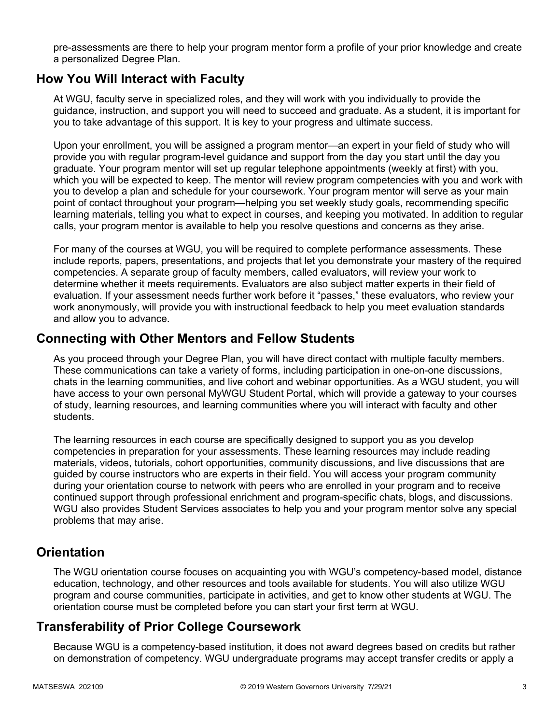pre-assessments are there to help your program mentor form a profile of your prior knowledge and create a personalized Degree Plan.

### **How You Will Interact with Faculty**

At WGU, faculty serve in specialized roles, and they will work with you individually to provide the guidance, instruction, and support you will need to succeed and graduate. As a student, it is important for you to take advantage of this support. It is key to your progress and ultimate success.

Upon your enrollment, you will be assigned a program mentor—an expert in your field of study who will provide you with regular program-level guidance and support from the day you start until the day you graduate. Your program mentor will set up regular telephone appointments (weekly at first) with you, which you will be expected to keep. The mentor will review program competencies with you and work with you to develop a plan and schedule for your coursework. Your program mentor will serve as your main point of contact throughout your program—helping you set weekly study goals, recommending specific learning materials, telling you what to expect in courses, and keeping you motivated. In addition to regular calls, your program mentor is available to help you resolve questions and concerns as they arise.

For many of the courses at WGU, you will be required to complete performance assessments. These include reports, papers, presentations, and projects that let you demonstrate your mastery of the required competencies. A separate group of faculty members, called evaluators, will review your work to determine whether it meets requirements. Evaluators are also subject matter experts in their field of evaluation. If your assessment needs further work before it "passes," these evaluators, who review your work anonymously, will provide you with instructional feedback to help you meet evaluation standards and allow you to advance.

### **Connecting with Other Mentors and Fellow Students**

As you proceed through your Degree Plan, you will have direct contact with multiple faculty members. These communications can take a variety of forms, including participation in one-on-one discussions, chats in the learning communities, and live cohort and webinar opportunities. As a WGU student, you will have access to your own personal MyWGU Student Portal, which will provide a gateway to your courses of study, learning resources, and learning communities where you will interact with faculty and other students.

The learning resources in each course are specifically designed to support you as you develop competencies in preparation for your assessments. These learning resources may include reading materials, videos, tutorials, cohort opportunities, community discussions, and live discussions that are guided by course instructors who are experts in their field. You will access your program community during your orientation course to network with peers who are enrolled in your program and to receive continued support through professional enrichment and program-specific chats, blogs, and discussions. WGU also provides Student Services associates to help you and your program mentor solve any special problems that may arise.

### **Orientation**

The WGU orientation course focuses on acquainting you with WGU's competency-based model, distance education, technology, and other resources and tools available for students. You will also utilize WGU program and course communities, participate in activities, and get to know other students at WGU. The orientation course must be completed before you can start your first term at WGU.

## **Transferability of Prior College Coursework**

Because WGU is a competency-based institution, it does not award degrees based on credits but rather on demonstration of competency. WGU undergraduate programs may accept transfer credits or apply a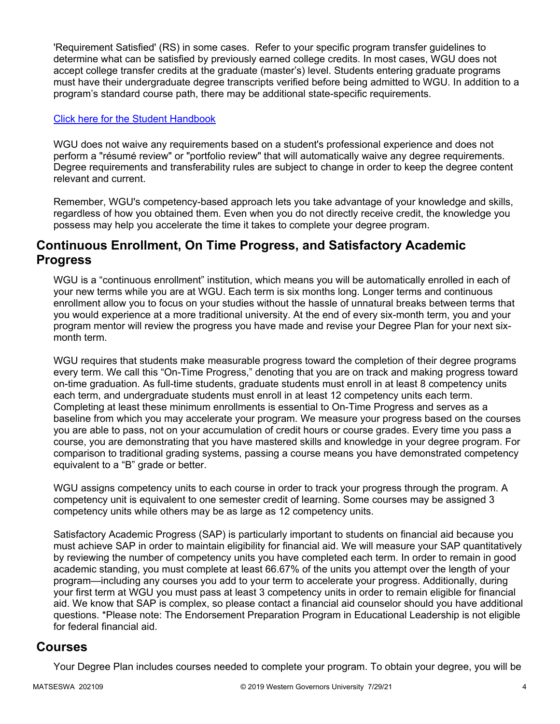'Requirement Satisfied' (RS) in some cases. Refer to your specific program transfer guidelines to determine what can be satisfied by previously earned college credits. In most cases, WGU does not accept college transfer credits at the graduate (master's) level. Students entering graduate programs must have their undergraduate degree transcripts verified before being admitted to WGU. In addition to a program's standard course path, there may be additional state-specific requirements.

#### [Click here for the Student Handbook](http://cm.wgu.edu/)

WGU does not waive any requirements based on a student's professional experience and does not perform a "résumé review" or "portfolio review" that will automatically waive any degree requirements. Degree requirements and transferability rules are subject to change in order to keep the degree content relevant and current.

Remember, WGU's competency-based approach lets you take advantage of your knowledge and skills, regardless of how you obtained them. Even when you do not directly receive credit, the knowledge you possess may help you accelerate the time it takes to complete your degree program.

### **Continuous Enrollment, On Time Progress, and Satisfactory Academic Progress**

WGU is a "continuous enrollment" institution, which means you will be automatically enrolled in each of your new terms while you are at WGU. Each term is six months long. Longer terms and continuous enrollment allow you to focus on your studies without the hassle of unnatural breaks between terms that you would experience at a more traditional university. At the end of every six-month term, you and your program mentor will review the progress you have made and revise your Degree Plan for your next sixmonth term.

WGU requires that students make measurable progress toward the completion of their degree programs every term. We call this "On-Time Progress," denoting that you are on track and making progress toward on-time graduation. As full-time students, graduate students must enroll in at least 8 competency units each term, and undergraduate students must enroll in at least 12 competency units each term. Completing at least these minimum enrollments is essential to On-Time Progress and serves as a baseline from which you may accelerate your program. We measure your progress based on the courses you are able to pass, not on your accumulation of credit hours or course grades. Every time you pass a course, you are demonstrating that you have mastered skills and knowledge in your degree program. For comparison to traditional grading systems, passing a course means you have demonstrated competency equivalent to a "B" grade or better.

WGU assigns competency units to each course in order to track your progress through the program. A competency unit is equivalent to one semester credit of learning. Some courses may be assigned 3 competency units while others may be as large as 12 competency units.

Satisfactory Academic Progress (SAP) is particularly important to students on financial aid because you must achieve SAP in order to maintain eligibility for financial aid. We will measure your SAP quantitatively by reviewing the number of competency units you have completed each term. In order to remain in good academic standing, you must complete at least 66.67% of the units you attempt over the length of your program—including any courses you add to your term to accelerate your progress. Additionally, during your first term at WGU you must pass at least 3 competency units in order to remain eligible for financial aid. We know that SAP is complex, so please contact a financial aid counselor should you have additional questions. \*Please note: The Endorsement Preparation Program in Educational Leadership is not eligible for federal financial aid.

### **Courses**

Your Degree Plan includes courses needed to complete your program. To obtain your degree, you will be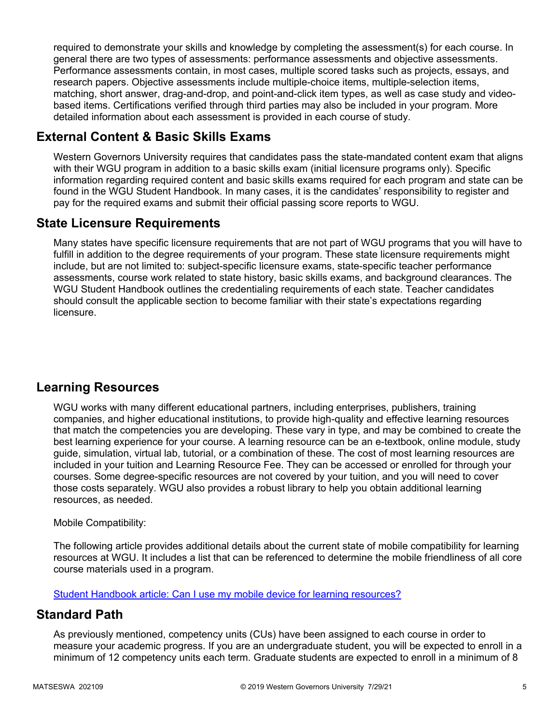required to demonstrate your skills and knowledge by completing the assessment(s) for each course. In general there are two types of assessments: performance assessments and objective assessments. Performance assessments contain, in most cases, multiple scored tasks such as projects, essays, and research papers. Objective assessments include multiple-choice items, multiple-selection items, matching, short answer, drag-and-drop, and point-and-click item types, as well as case study and videobased items. Certifications verified through third parties may also be included in your program. More detailed information about each assessment is provided in each course of study.

## **External Content & Basic Skills Exams**

Western Governors University requires that candidates pass the state-mandated content exam that aligns with their WGU program in addition to a basic skills exam (initial licensure programs only). Specific information regarding required content and basic skills exams required for each program and state can be found in the WGU Student Handbook. In many cases, it is the candidates' responsibility to register and pay for the required exams and submit their official passing score reports to WGU.

### **State Licensure Requirements**

Many states have specific licensure requirements that are not part of WGU programs that you will have to fulfill in addition to the degree requirements of your program. These state licensure requirements might include, but are not limited to: subject-specific licensure exams, state-specific teacher performance assessments, course work related to state history, basic skills exams, and background clearances. The WGU Student Handbook outlines the credentialing requirements of each state. Teacher candidates should consult the applicable section to become familiar with their state's expectations regarding licensure.

## **Learning Resources**

WGU works with many different educational partners, including enterprises, publishers, training companies, and higher educational institutions, to provide high-quality and effective learning resources that match the competencies you are developing. These vary in type, and may be combined to create the best learning experience for your course. A learning resource can be an e-textbook, online module, study guide, simulation, virtual lab, tutorial, or a combination of these. The cost of most learning resources are included in your tuition and Learning Resource Fee. They can be accessed or enrolled for through your courses. Some degree-specific resources are not covered by your tuition, and you will need to cover those costs separately. WGU also provides a robust library to help you obtain additional learning resources, as needed.

### Mobile Compatibility:

The following article provides additional details about the current state of mobile compatibility for learning resources at WGU. It includes a list that can be referenced to determine the mobile friendliness of all core course materials used in a program.

[Student Handbook article: Can I use my mobile device for learning resources?](https://cm.wgu.edu/t5/Frequently-Asked-Questions/Can-I-use-my-mobile-device-for-learning-resources/ta-p/396)

### **Standard Path**

As previously mentioned, competency units (CUs) have been assigned to each course in order to measure your academic progress. If you are an undergraduate student, you will be expected to enroll in a minimum of 12 competency units each term. Graduate students are expected to enroll in a minimum of 8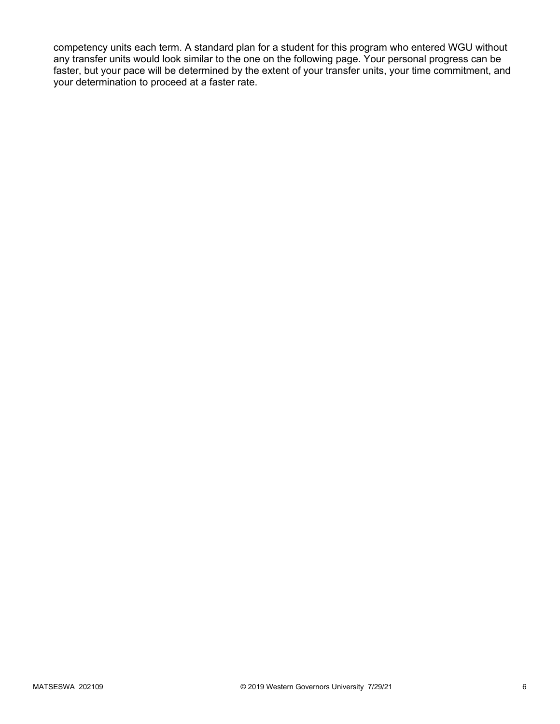competency units each term. A standard plan for a student for this program who entered WGU without any transfer units would look similar to the one on the following page. Your personal progress can be faster, but your pace will be determined by the extent of your transfer units, your time commitment, and your determination to proceed at a faster rate.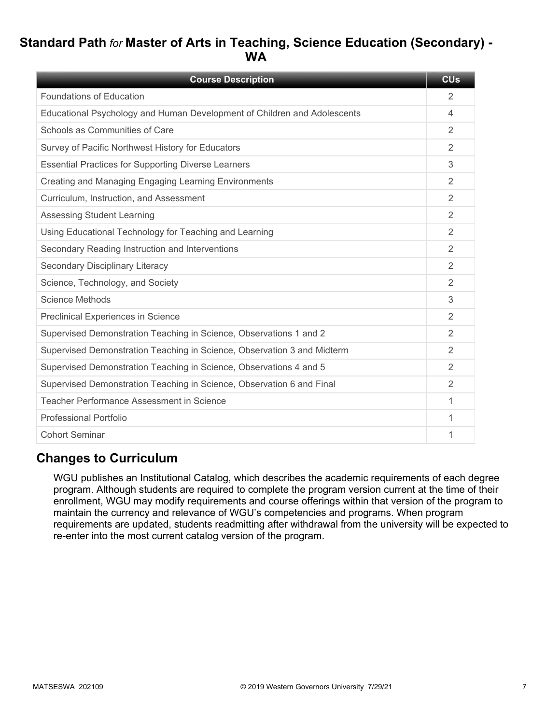# **Standard Path** *for* **Master of Arts in Teaching, Science Education (Secondary) - WA**

| <b>Course Description</b>                                                | <b>CU<sub>s</sub></b> |
|--------------------------------------------------------------------------|-----------------------|
| <b>Foundations of Education</b>                                          | 2                     |
| Educational Psychology and Human Development of Children and Adolescents | 4                     |
| Schools as Communities of Care                                           | 2                     |
| Survey of Pacific Northwest History for Educators                        | 2                     |
| <b>Essential Practices for Supporting Diverse Learners</b>               | 3                     |
| Creating and Managing Engaging Learning Environments                     | 2                     |
| Curriculum, Instruction, and Assessment                                  | 2                     |
| <b>Assessing Student Learning</b>                                        | $\overline{2}$        |
| Using Educational Technology for Teaching and Learning                   | 2                     |
| Secondary Reading Instruction and Interventions                          | 2                     |
| Secondary Disciplinary Literacy                                          | 2                     |
| Science, Technology, and Society                                         | $\mathfrak{D}$        |
| Science Methods                                                          | 3                     |
| Preclinical Experiences in Science                                       | 2                     |
| Supervised Demonstration Teaching in Science, Observations 1 and 2       | 2                     |
| Supervised Demonstration Teaching in Science, Observation 3 and Midterm  | $\overline{2}$        |
| Supervised Demonstration Teaching in Science, Observations 4 and 5       | 2                     |
| Supervised Demonstration Teaching in Science, Observation 6 and Final    | 2                     |
| Teacher Performance Assessment in Science                                | 1                     |
| Professional Portfolio                                                   | 1                     |
| <b>Cohort Seminar</b>                                                    | 1                     |

### **Changes to Curriculum**

WGU publishes an Institutional Catalog, which describes the academic requirements of each degree program. Although students are required to complete the program version current at the time of their enrollment, WGU may modify requirements and course offerings within that version of the program to maintain the currency and relevance of WGU's competencies and programs. When program requirements are updated, students readmitting after withdrawal from the university will be expected to re-enter into the most current catalog version of the program.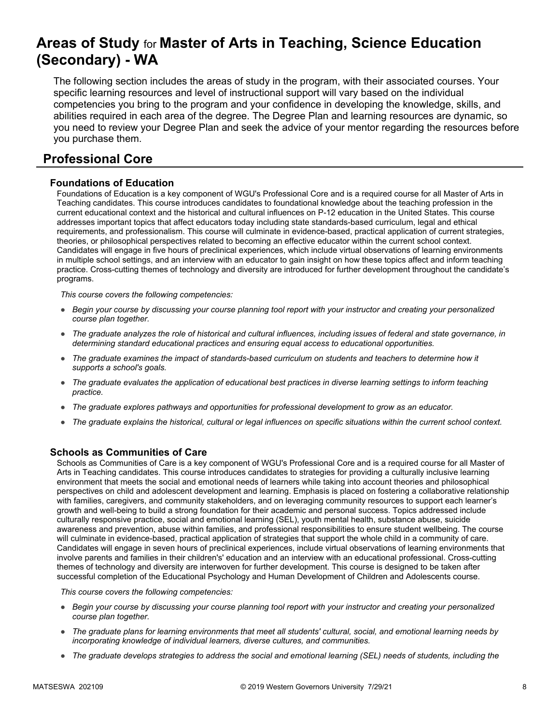# **Areas of Study** for **Master of Arts in Teaching, Science Education (Secondary) - WA**

The following section includes the areas of study in the program, with their associated courses. Your specific learning resources and level of instructional support will vary based on the individual competencies you bring to the program and your confidence in developing the knowledge, skills, and abilities required in each area of the degree. The Degree Plan and learning resources are dynamic, so you need to review your Degree Plan and seek the advice of your mentor regarding the resources before you purchase them.

## **Professional Core**

### **Foundations of Education**

Foundations of Education is a key component of WGU's Professional Core and is a required course for all Master of Arts in Teaching candidates. This course introduces candidates to foundational knowledge about the teaching profession in the current educational context and the historical and cultural influences on P-12 education in the United States. This course addresses important topics that affect educators today including state standards-based curriculum, legal and ethical requirements, and professionalism. This course will culminate in evidence-based, practical application of current strategies, theories, or philosophical perspectives related to becoming an effective educator within the current school context. Candidates will engage in five hours of preclinical experiences, which include virtual observations of learning environments in multiple school settings, and an interview with an educator to gain insight on how these topics affect and inform teaching practice. Cross-cutting themes of technology and diversity are introduced for further development throughout the candidate's programs.

*This course covers the following competencies:*

- *Begin your course by discussing your course planning tool report with your instructor and creating your personalized course plan together.*
- *The graduate analyzes the role of historical and cultural influences, including issues of federal and state governance, in determining standard educational practices and ensuring equal access to educational opportunities.*
- *The graduate examines the impact of standards-based curriculum on students and teachers to determine how it supports a school's goals.*
- *The graduate evaluates the application of educational best practices in diverse learning settings to inform teaching practice.*
- *The graduate explores pathways and opportunities for professional development to grow as an educator.*
- *The graduate explains the historical, cultural or legal influences on specific situations within the current school context.*

#### **Schools as Communities of Care**

Schools as Communities of Care is a key component of WGU's Professional Core and is a required course for all Master of Arts in Teaching candidates. This course introduces candidates to strategies for providing a culturally inclusive learning environment that meets the social and emotional needs of learners while taking into account theories and philosophical perspectives on child and adolescent development and learning. Emphasis is placed on fostering a collaborative relationship with families, caregivers, and community stakeholders, and on leveraging community resources to support each learner's growth and well-being to build a strong foundation for their academic and personal success. Topics addressed include culturally responsive practice, social and emotional learning (SEL), youth mental health, substance abuse, suicide awareness and prevention, abuse within families, and professional responsibilities to ensure student wellbeing. The course will culminate in evidence-based, practical application of strategies that support the whole child in a community of care. Candidates will engage in seven hours of preclinical experiences, include virtual observations of learning environments that involve parents and families in their children's' education and an interview with an educational professional. Cross-cutting themes of technology and diversity are interwoven for further development. This course is designed to be taken after successful completion of the Educational Psychology and Human Development of Children and Adolescents course.

- *Begin your course by discussing your course planning tool report with your instructor and creating your personalized course plan together.*
- *The graduate plans for learning environments that meet all students' cultural, social, and emotional learning needs by incorporating knowledge of individual learners, diverse cultures, and communities.*
- *The graduate develops strategies to address the social and emotional learning (SEL) needs of students, including the*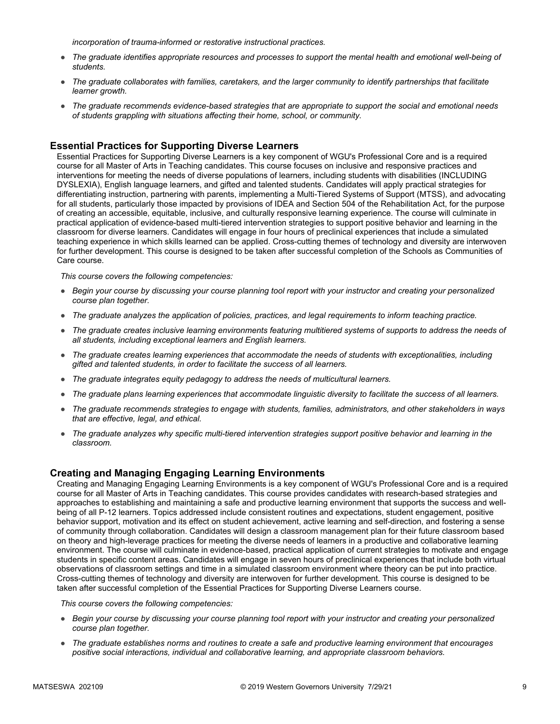*incorporation of trauma-informed or restorative instructional practices.* 

- *The graduate identifies appropriate resources and processes to support the mental health and emotional well-being of students.*
- *The graduate collaborates with families, caretakers, and the larger community to identify partnerships that facilitate learner growth.*
- *The graduate recommends evidence-based strategies that are appropriate to support the social and emotional needs of students grappling with situations affecting their home, school, or community.*

#### **Essential Practices for Supporting Diverse Learners**

Essential Practices for Supporting Diverse Learners is a key component of WGU's Professional Core and is a required course for all Master of Arts in Teaching candidates. This course focuses on inclusive and responsive practices and interventions for meeting the needs of diverse populations of learners, including students with disabilities (INCLUDING DYSLEXIA), English language learners, and gifted and talented students. Candidates will apply practical strategies for differentiating instruction, partnering with parents, implementing a Multi-Tiered Systems of Support (MTSS), and advocating for all students, particularly those impacted by provisions of IDEA and Section 504 of the Rehabilitation Act, for the purpose of creating an accessible, equitable, inclusive, and culturally responsive learning experience. The course will culminate in practical application of evidence-based multi-tiered intervention strategies to support positive behavior and learning in the classroom for diverse learners. Candidates will engage in four hours of preclinical experiences that include a simulated teaching experience in which skills learned can be applied. Cross-cutting themes of technology and diversity are interwoven for further development. This course is designed to be taken after successful completion of the Schools as Communities of Care course.

*This course covers the following competencies:*

- *Begin your course by discussing your course planning tool report with your instructor and creating your personalized course plan together.*
- *The graduate analyzes the application of policies, practices, and legal requirements to inform teaching practice.*
- *The graduate creates inclusive learning environments featuring multitiered systems of supports to address the needs of all students, including exceptional learners and English learners.*
- *The graduate creates learning experiences that accommodate the needs of students with exceptionalities, including gifted and talented students, in order to facilitate the success of all learners.*
- *The graduate integrates equity pedagogy to address the needs of multicultural learners.*
- *The graduate plans learning experiences that accommodate linguistic diversity to facilitate the success of all learners.*
- *The graduate recommends strategies to engage with students, families, administrators, and other stakeholders in ways that are effective, legal, and ethical.*
- *The graduate analyzes why specific multi-tiered intervention strategies support positive behavior and learning in the classroom.*

#### **Creating and Managing Engaging Learning Environments**

Creating and Managing Engaging Learning Environments is a key component of WGU's Professional Core and is a required course for all Master of Arts in Teaching candidates. This course provides candidates with research-based strategies and approaches to establishing and maintaining a safe and productive learning environment that supports the success and wellbeing of all P-12 learners. Topics addressed include consistent routines and expectations, student engagement, positive behavior support, motivation and its effect on student achievement, active learning and self-direction, and fostering a sense of community through collaboration. Candidates will design a classroom management plan for their future classroom based on theory and high-leverage practices for meeting the diverse needs of learners in a productive and collaborative learning environment. The course will culminate in evidence-based, practical application of current strategies to motivate and engage students in specific content areas. Candidates will engage in seven hours of preclinical experiences that include both virtual observations of classroom settings and time in a simulated classroom environment where theory can be put into practice. Cross-cutting themes of technology and diversity are interwoven for further development. This course is designed to be taken after successful completion of the Essential Practices for Supporting Diverse Learners course.

- *Begin your course by discussing your course planning tool report with your instructor and creating your personalized course plan together.*
- *The graduate establishes norms and routines to create a safe and productive learning environment that encourages positive social interactions, individual and collaborative learning, and appropriate classroom behaviors.*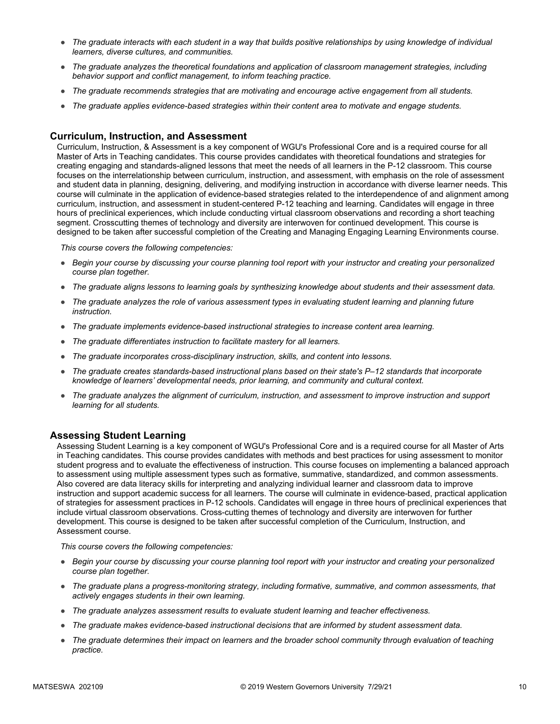- *The graduate interacts with each student in a way that builds positive relationships by using knowledge of individual learners, diverse cultures, and communities.*
- *The graduate analyzes the theoretical foundations and application of classroom management strategies, including behavior support and conflict management, to inform teaching practice.*
- *The graduate recommends strategies that are motivating and encourage active engagement from all students.*
- *The graduate applies evidence-based strategies within their content area to motivate and engage students.*

#### **Curriculum, Instruction, and Assessment**

Curriculum, Instruction, & Assessment is a key component of WGU's Professional Core and is a required course for all Master of Arts in Teaching candidates. This course provides candidates with theoretical foundations and strategies for creating engaging and standards-aligned lessons that meet the needs of all learners in the P-12 classroom. This course focuses on the interrelationship between curriculum, instruction, and assessment, with emphasis on the role of assessment and student data in planning, designing, delivering, and modifying instruction in accordance with diverse learner needs. This course will culminate in the application of evidence-based strategies related to the interdependence of and alignment among curriculum, instruction, and assessment in student-centered P-12 teaching and learning. Candidates will engage in three hours of preclinical experiences, which include conducting virtual classroom observations and recording a short teaching segment. Crosscutting themes of technology and diversity are interwoven for continued development. This course is designed to be taken after successful completion of the Creating and Managing Engaging Learning Environments course.

*This course covers the following competencies:*

- *Begin your course by discussing your course planning tool report with your instructor and creating your personalized course plan together.*
- *The graduate aligns lessons to learning goals by synthesizing knowledge about students and their assessment data.*
- *The graduate analyzes the role of various assessment types in evaluating student learning and planning future instruction.*
- *The graduate implements evidence-based instructional strategies to increase content area learning.*
- *The graduate differentiates instruction to facilitate mastery for all learners.*
- *The graduate incorporates cross-disciplinary instruction, skills, and content into lessons.*
- *The graduate creates standards-based instructional plans based on their state's P–12 standards that incorporate knowledge of learners' developmental needs, prior learning, and community and cultural context.*
- *The graduate analyzes the alignment of curriculum, instruction, and assessment to improve instruction and support learning for all students.*

#### **Assessing Student Learning**

Assessing Student Learning is a key component of WGU's Professional Core and is a required course for all Master of Arts in Teaching candidates. This course provides candidates with methods and best practices for using assessment to monitor student progress and to evaluate the effectiveness of instruction. This course focuses on implementing a balanced approach to assessment using multiple assessment types such as formative, summative, standardized, and common assessments. Also covered are data literacy skills for interpreting and analyzing individual learner and classroom data to improve instruction and support academic success for all learners. The course will culminate in evidence-based, practical application of strategies for assessment practices in P-12 schools. Candidates will engage in three hours of preclinical experiences that include virtual classroom observations. Cross-cutting themes of technology and diversity are interwoven for further development. This course is designed to be taken after successful completion of the Curriculum, Instruction, and Assessment course.

- *Begin your course by discussing your course planning tool report with your instructor and creating your personalized course plan together.*
- *The graduate plans a progress-monitoring strategy, including formative, summative, and common assessments, that actively engages students in their own learning.*
- *The graduate analyzes assessment results to evaluate student learning and teacher effectiveness.*
- *The graduate makes evidence-based instructional decisions that are informed by student assessment data.*
- The graduate determines their impact on learners and the broader school community through evaluation of teaching *practice.*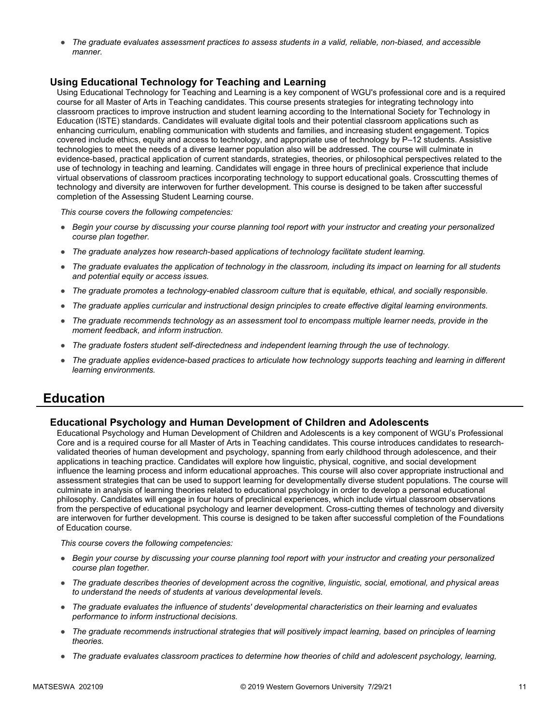● *The graduate evaluates assessment practices to assess students in a valid, reliable, non-biased, and accessible manner.*

#### **Using Educational Technology for Teaching and Learning**

Using Educational Technology for Teaching and Learning is a key component of WGU's professional core and is a required course for all Master of Arts in Teaching candidates. This course presents strategies for integrating technology into classroom practices to improve instruction and student learning according to the International Society for Technology in Education (ISTE) standards. Candidates will evaluate digital tools and their potential classroom applications such as enhancing curriculum, enabling communication with students and families, and increasing student engagement. Topics covered include ethics, equity and access to technology, and appropriate use of technology by P–12 students. Assistive technologies to meet the needs of a diverse learner population also will be addressed. The course will culminate in evidence-based, practical application of current standards, strategies, theories, or philosophical perspectives related to the use of technology in teaching and learning. Candidates will engage in three hours of preclinical experience that include virtual observations of classroom practices incorporating technology to support educational goals. Crosscutting themes of technology and diversity are interwoven for further development. This course is designed to be taken after successful completion of the Assessing Student Learning course.

*This course covers the following competencies:*

- *Begin your course by discussing your course planning tool report with your instructor and creating your personalized course plan together.*
- *The graduate analyzes how research-based applications of technology facilitate student learning.*
- *The graduate evaluates the application of technology in the classroom, including its impact on learning for all students and potential equity or access issues.*
- *The graduate promotes a technology-enabled classroom culture that is equitable, ethical, and socially responsible.*
- *The graduate applies curricular and instructional design principles to create effective digital learning environments.*
- *The graduate recommends technology as an assessment tool to encompass multiple learner needs, provide in the moment feedback, and inform instruction.*
- *The graduate fosters student self-directedness and independent learning through the use of technology.*
- The graduate applies evidence-based practices to articulate how technology supports teaching and learning in different *learning environments.*

### **Education**

#### **Educational Psychology and Human Development of Children and Adolescents**

Educational Psychology and Human Development of Children and Adolescents is a key component of WGU's Professional Core and is a required course for all Master of Arts in Teaching candidates. This course introduces candidates to researchvalidated theories of human development and psychology, spanning from early childhood through adolescence, and their applications in teaching practice. Candidates will explore how linguistic, physical, cognitive, and social development influence the learning process and inform educational approaches. This course will also cover appropriate instructional and assessment strategies that can be used to support learning for developmentally diverse student populations. The course will culminate in analysis of learning theories related to educational psychology in order to develop a personal educational philosophy. Candidates will engage in four hours of preclinical experiences, which include virtual classroom observations from the perspective of educational psychology and learner development. Cross-cutting themes of technology and diversity are interwoven for further development. This course is designed to be taken after successful completion of the Foundations of Education course.

- *Begin your course by discussing your course planning tool report with your instructor and creating your personalized course plan together.*
- *The graduate describes theories of development across the cognitive, linguistic, social, emotional, and physical areas to understand the needs of students at various developmental levels.*
- *The graduate evaluates the influence of students' developmental characteristics on their learning and evaluates performance to inform instructional decisions.*
- *The graduate recommends instructional strategies that will positively impact learning, based on principles of learning theories.*
- *The graduate evaluates classroom practices to determine how theories of child and adolescent psychology, learning,*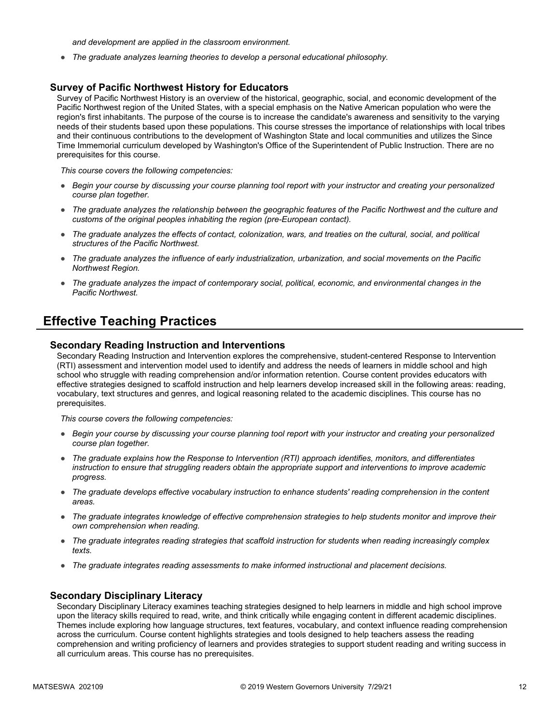*and development are applied in the classroom environment.*

● *The graduate analyzes learning theories to develop a personal educational philosophy.*

#### **Survey of Pacific Northwest History for Educators**

Survey of Pacific Northwest History is an overview of the historical, geographic, social, and economic development of the Pacific Northwest region of the United States, with a special emphasis on the Native American population who were the region's first inhabitants. The purpose of the course is to increase the candidate's awareness and sensitivity to the varying needs of their students based upon these populations. This course stresses the importance of relationships with local tribes and their continuous contributions to the development of Washington State and local communities and utilizes the Since Time Immemorial curriculum developed by Washington's Office of the Superintendent of Public Instruction. There are no prerequisites for this course.

*This course covers the following competencies:*

- *Begin your course by discussing your course planning tool report with your instructor and creating your personalized course plan together.*
- *The graduate analyzes the relationship between the geographic features of the Pacific Northwest and the culture and customs of the original peoples inhabiting the region (pre-European contact).*
- *The graduate analyzes the effects of contact, colonization, wars, and treaties on the cultural, social, and political structures of the Pacific Northwest.*
- *The graduate analyzes the influence of early industrialization, urbanization, and social movements on the Pacific Northwest Region.*
- *The graduate analyzes the impact of contemporary social, political, economic, and environmental changes in the Pacific Northwest.*

### **Effective Teaching Practices**

#### **Secondary Reading Instruction and Interventions**

Secondary Reading Instruction and Intervention explores the comprehensive, student-centered Response to Intervention (RTI) assessment and intervention model used to identify and address the needs of learners in middle school and high school who struggle with reading comprehension and/or information retention. Course content provides educators with effective strategies designed to scaffold instruction and help learners develop increased skill in the following areas: reading, vocabulary, text structures and genres, and logical reasoning related to the academic disciplines. This course has no prerequisites.

*This course covers the following competencies:*

- *Begin your course by discussing your course planning tool report with your instructor and creating your personalized course plan together.*
- *The graduate explains how the Response to Intervention (RTI) approach identifies, monitors, and differentiates instruction to ensure that struggling readers obtain the appropriate support and interventions to improve academic progress.*
- *The graduate develops effective vocabulary instruction to enhance students' reading comprehension in the content areas.*
- *The graduate integrates knowledge of effective comprehension strategies to help students monitor and improve their own comprehension when reading.*
- *The graduate integrates reading strategies that scaffold instruction for students when reading increasingly complex texts.*
- *The graduate integrates reading assessments to make informed instructional and placement decisions.*

#### **Secondary Disciplinary Literacy**

Secondary Disciplinary Literacy examines teaching strategies designed to help learners in middle and high school improve upon the literacy skills required to read, write, and think critically while engaging content in different academic disciplines. Themes include exploring how language structures, text features, vocabulary, and context influence reading comprehension across the curriculum. Course content highlights strategies and tools designed to help teachers assess the reading comprehension and writing proficiency of learners and provides strategies to support student reading and writing success in all curriculum areas. This course has no prerequisites.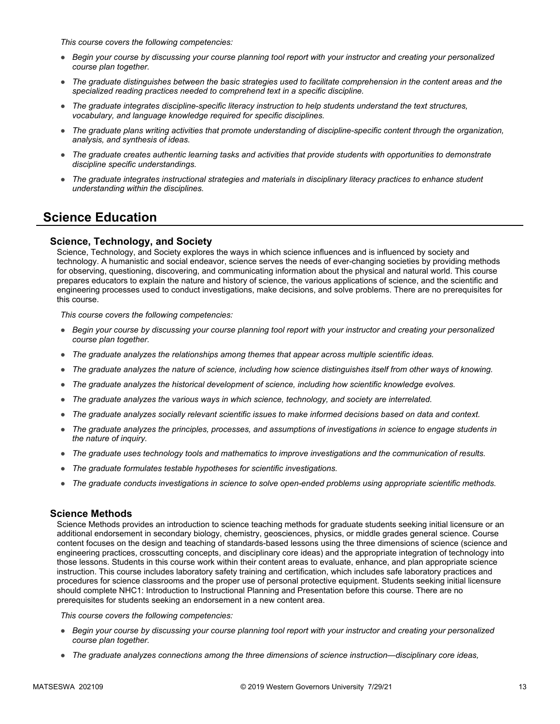*This course covers the following competencies:*

- *Begin your course by discussing your course planning tool report with your instructor and creating your personalized course plan together.*
- *The graduate distinguishes between the basic strategies used to facilitate comprehension in the content areas and the specialized reading practices needed to comprehend text in a specific discipline.*
- *The graduate integrates discipline-specific literacy instruction to help students understand the text structures, vocabulary, and language knowledge required for specific disciplines.*
- *The graduate plans writing activities that promote understanding of discipline-specific content through the organization, analysis, and synthesis of ideas.*
- *The graduate creates authentic learning tasks and activities that provide students with opportunities to demonstrate discipline specific understandings.*
- *The graduate integrates instructional strategies and materials in disciplinary literacy practices to enhance student understanding within the disciplines.*

### **Science Education**

#### **Science, Technology, and Society**

Science, Technology, and Society explores the ways in which science influences and is influenced by society and technology. A humanistic and social endeavor, science serves the needs of ever-changing societies by providing methods for observing, questioning, discovering, and communicating information about the physical and natural world. This course prepares educators to explain the nature and history of science, the various applications of science, and the scientific and engineering processes used to conduct investigations, make decisions, and solve problems. There are no prerequisites for this course.

*This course covers the following competencies:*

- *Begin your course by discussing your course planning tool report with your instructor and creating your personalized course plan together.*
- *The graduate analyzes the relationships among themes that appear across multiple scientific ideas.*
- *The graduate analyzes the nature of science, including how science distinguishes itself from other ways of knowing.*
- *The graduate analyzes the historical development of science, including how scientific knowledge evolves.*
- *The graduate analyzes the various ways in which science, technology, and society are interrelated.*
- *The graduate analyzes socially relevant scientific issues to make informed decisions based on data and context.*
- *The graduate analyzes the principles, processes, and assumptions of investigations in science to engage students in the nature of inquiry.*
- *The graduate uses technology tools and mathematics to improve investigations and the communication of results.*
- *The graduate formulates testable hypotheses for scientific investigations.*
- *The graduate conducts investigations in science to solve open-ended problems using appropriate scientific methods.*

#### **Science Methods**

Science Methods provides an introduction to science teaching methods for graduate students seeking initial licensure or an additional endorsement in secondary biology, chemistry, geosciences, physics, or middle grades general science. Course content focuses on the design and teaching of standards-based lessons using the three dimensions of science (science and engineering practices, crosscutting concepts, and disciplinary core ideas) and the appropriate integration of technology into those lessons. Students in this course work within their content areas to evaluate, enhance, and plan appropriate science instruction. This course includes laboratory safety training and certification, which includes safe laboratory practices and procedures for science classrooms and the proper use of personal protective equipment. Students seeking initial licensure should complete NHC1: Introduction to Instructional Planning and Presentation before this course. There are no prerequisites for students seeking an endorsement in a new content area.

- *Begin your course by discussing your course planning tool report with your instructor and creating your personalized course plan together.*
- *The graduate analyzes connections among the three dimensions of science instruction—disciplinary core ideas,*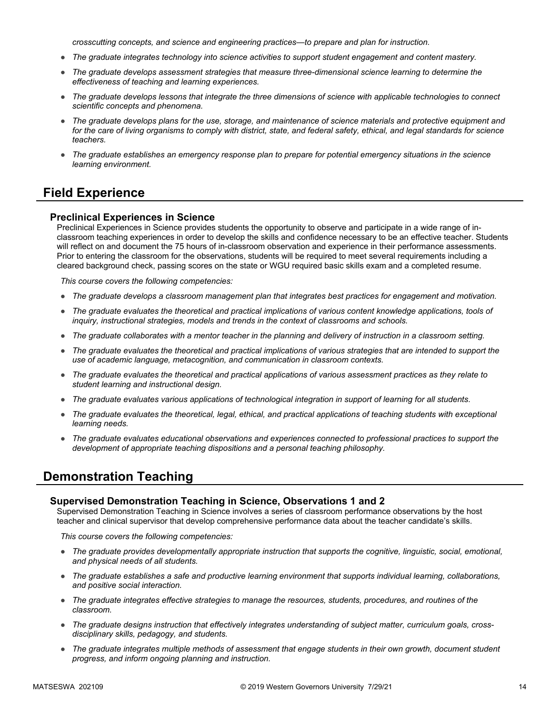*crosscutting concepts, and science and engineering practices—to prepare and plan for instruction.*

- *The graduate integrates technology into science activities to support student engagement and content mastery.*
- *The graduate develops assessment strategies that measure three-dimensional science learning to determine the effectiveness of teaching and learning experiences.*
- *The graduate develops lessons that integrate the three dimensions of science with applicable technologies to connect scientific concepts and phenomena.*
- *The graduate develops plans for the use, storage, and maintenance of science materials and protective equipment and for the care of living organisms to comply with district, state, and federal safety, ethical, and legal standards for science teachers.*
- *The graduate establishes an emergency response plan to prepare for potential emergency situations in the science learning environment.*

### **Field Experience**

#### **Preclinical Experiences in Science**

Preclinical Experiences in Science provides students the opportunity to observe and participate in a wide range of inclassroom teaching experiences in order to develop the skills and confidence necessary to be an effective teacher. Students will reflect on and document the 75 hours of in-classroom observation and experience in their performance assessments. Prior to entering the classroom for the observations, students will be required to meet several requirements including a cleared background check, passing scores on the state or WGU required basic skills exam and a completed resume.

*This course covers the following competencies:*

- *The graduate develops a classroom management plan that integrates best practices for engagement and motivation.*
- *The graduate evaluates the theoretical and practical implications of various content knowledge applications, tools of inquiry, instructional strategies, models and trends in the context of classrooms and schools.*
- *The graduate collaborates with a mentor teacher in the planning and delivery of instruction in a classroom setting.*
- *The graduate evaluates the theoretical and practical implications of various strategies that are intended to support the use of academic language, metacognition, and communication in classroom contexts.*
- *The graduate evaluates the theoretical and practical applications of various assessment practices as they relate to student learning and instructional design.*
- *The graduate evaluates various applications of technological integration in support of learning for all students.*
- *The graduate evaluates the theoretical, legal, ethical, and practical applications of teaching students with exceptional learning needs.*
- *The graduate evaluates educational observations and experiences connected to professional practices to support the development of appropriate teaching dispositions and a personal teaching philosophy.*

### **Demonstration Teaching**

#### **Supervised Demonstration Teaching in Science, Observations 1 and 2**

Supervised Demonstration Teaching in Science involves a series of classroom performance observations by the host teacher and clinical supervisor that develop comprehensive performance data about the teacher candidate's skills.

- *The graduate provides developmentally appropriate instruction that supports the cognitive, linguistic, social, emotional, and physical needs of all students.*
- *The graduate establishes a safe and productive learning environment that supports individual learning, collaborations, and positive social interaction.*
- *The graduate integrates effective strategies to manage the resources, students, procedures, and routines of the classroom.*
- The graduate designs instruction that effectively integrates understanding of subject matter, curriculum goals, cross*disciplinary skills, pedagogy, and students.*
- *The graduate integrates multiple methods of assessment that engage students in their own growth, document student progress, and inform ongoing planning and instruction.*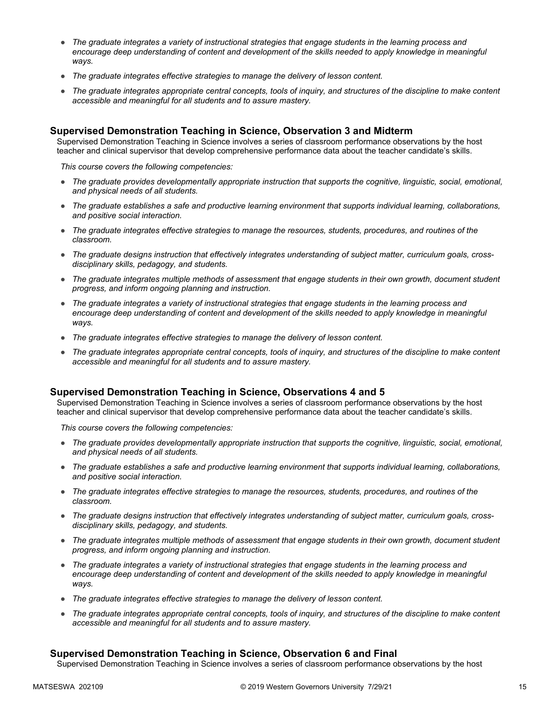- *The graduate integrates a variety of instructional strategies that engage students in the learning process and encourage deep understanding of content and development of the skills needed to apply knowledge in meaningful ways.*
- *The graduate integrates effective strategies to manage the delivery of lesson content.*
- *The graduate integrates appropriate central concepts, tools of inquiry, and structures of the discipline to make content accessible and meaningful for all students and to assure mastery.*

#### **Supervised Demonstration Teaching in Science, Observation 3 and Midterm**

Supervised Demonstration Teaching in Science involves a series of classroom performance observations by the host teacher and clinical supervisor that develop comprehensive performance data about the teacher candidate's skills.

*This course covers the following competencies:*

- *The graduate provides developmentally appropriate instruction that supports the cognitive, linguistic, social, emotional, and physical needs of all students.*
- *The graduate establishes a safe and productive learning environment that supports individual learning, collaborations, and positive social interaction.*
- *The graduate integrates effective strategies to manage the resources, students, procedures, and routines of the classroom.*
- *The graduate designs instruction that effectively integrates understanding of subject matter, curriculum goals, crossdisciplinary skills, pedagogy, and students.*
- *The graduate integrates multiple methods of assessment that engage students in their own growth, document student progress, and inform ongoing planning and instruction.*
- *The graduate integrates a variety of instructional strategies that engage students in the learning process and encourage deep understanding of content and development of the skills needed to apply knowledge in meaningful ways.*
- *The graduate integrates effective strategies to manage the delivery of lesson content.*
- *The graduate integrates appropriate central concepts, tools of inquiry, and structures of the discipline to make content accessible and meaningful for all students and to assure mastery.*

#### **Supervised Demonstration Teaching in Science, Observations 4 and 5**

Supervised Demonstration Teaching in Science involves a series of classroom performance observations by the host teacher and clinical supervisor that develop comprehensive performance data about the teacher candidate's skills.

*This course covers the following competencies:*

- *The graduate provides developmentally appropriate instruction that supports the cognitive, linguistic, social, emotional, and physical needs of all students.*
- *The graduate establishes a safe and productive learning environment that supports individual learning, collaborations, and positive social interaction.*
- *The graduate integrates effective strategies to manage the resources, students, procedures, and routines of the classroom.*
- The graduate designs instruction that effectively integrates understanding of subject matter, curriculum goals, cross*disciplinary skills, pedagogy, and students.*
- *The graduate integrates multiple methods of assessment that engage students in their own growth, document student progress, and inform ongoing planning and instruction.*
- *The graduate integrates a variety of instructional strategies that engage students in the learning process and*  encourage deep understanding of content and development of the skills needed to apply knowledge in meaningful *ways.*
- *The graduate integrates effective strategies to manage the delivery of lesson content.*
- *The graduate integrates appropriate central concepts, tools of inquiry, and structures of the discipline to make content accessible and meaningful for all students and to assure mastery.*

#### **Supervised Demonstration Teaching in Science, Observation 6 and Final**

Supervised Demonstration Teaching in Science involves a series of classroom performance observations by the host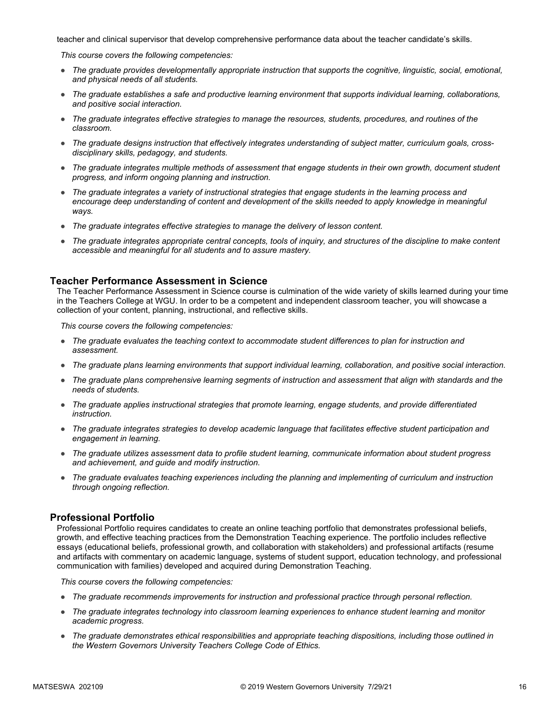teacher and clinical supervisor that develop comprehensive performance data about the teacher candidate's skills.

*This course covers the following competencies:*

- *The graduate provides developmentally appropriate instruction that supports the cognitive, linguistic, social, emotional, and physical needs of all students.*
- *The graduate establishes a safe and productive learning environment that supports individual learning, collaborations, and positive social interaction.*
- *The graduate integrates effective strategies to manage the resources, students, procedures, and routines of the classroom.*
- The graduate designs instruction that effectively integrates understanding of subject matter, curriculum goals, cross*disciplinary skills, pedagogy, and students.*
- *The graduate integrates multiple methods of assessment that engage students in their own growth, document student progress, and inform ongoing planning and instruction.*
- *The graduate integrates a variety of instructional strategies that engage students in the learning process and*  encourage deep understanding of content and development of the skills needed to apply knowledge in meaningful *ways.*
- *The graduate integrates effective strategies to manage the delivery of lesson content.*
- *The graduate integrates appropriate central concepts, tools of inquiry, and structures of the discipline to make content accessible and meaningful for all students and to assure mastery.*

#### **Teacher Performance Assessment in Science**

The Teacher Performance Assessment in Science course is culmination of the wide variety of skills learned during your time in the Teachers College at WGU. In order to be a competent and independent classroom teacher, you will showcase a collection of your content, planning, instructional, and reflective skills.

*This course covers the following competencies:*

- *The graduate evaluates the teaching context to accommodate student differences to plan for instruction and assessment.*
- *The graduate plans learning environments that support individual learning, collaboration, and positive social interaction.*
- *The graduate plans comprehensive learning segments of instruction and assessment that align with standards and the needs of students.*
- *The graduate applies instructional strategies that promote learning, engage students, and provide differentiated instruction.*
- *The graduate integrates strategies to develop academic language that facilitates effective student participation and engagement in learning.*
- *The graduate utilizes assessment data to profile student learning, communicate information about student progress and achievement, and guide and modify instruction.*
- *The graduate evaluates teaching experiences including the planning and implementing of curriculum and instruction through ongoing reflection.*

#### **Professional Portfolio**

Professional Portfolio requires candidates to create an online teaching portfolio that demonstrates professional beliefs, growth, and effective teaching practices from the Demonstration Teaching experience. The portfolio includes reflective essays (educational beliefs, professional growth, and collaboration with stakeholders) and professional artifacts (resume and artifacts with commentary on academic language, systems of student support, education technology, and professional communication with families) developed and acquired during Demonstration Teaching.

- *The graduate recommends improvements for instruction and professional practice through personal reflection.*
- *The graduate integrates technology into classroom learning experiences to enhance student learning and monitor academic progress.*
- *The graduate demonstrates ethical responsibilities and appropriate teaching dispositions, including those outlined in the Western Governors University Teachers College Code of Ethics.*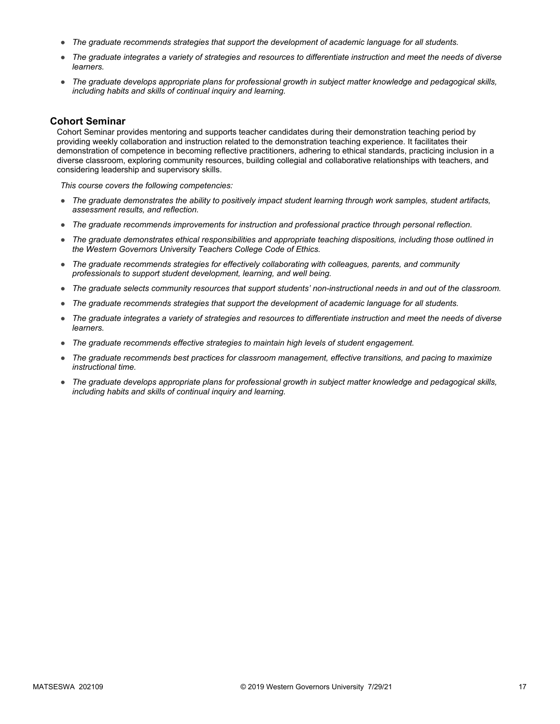- *The graduate recommends strategies that support the development of academic language for all students.*
- *The graduate integrates a variety of strategies and resources to differentiate instruction and meet the needs of diverse learners.*
- *The graduate develops appropriate plans for professional growth in subject matter knowledge and pedagogical skills, including habits and skills of continual inquiry and learning.*

#### **Cohort Seminar**

Cohort Seminar provides mentoring and supports teacher candidates during their demonstration teaching period by providing weekly collaboration and instruction related to the demonstration teaching experience. It facilitates their demonstration of competence in becoming reflective practitioners, adhering to ethical standards, practicing inclusion in a diverse classroom, exploring community resources, building collegial and collaborative relationships with teachers, and considering leadership and supervisory skills.

- *The graduate demonstrates the ability to positively impact student learning through work samples, student artifacts, assessment results, and reflection.*
- *The graduate recommends improvements for instruction and professional practice through personal reflection.*
- *The graduate demonstrates ethical responsibilities and appropriate teaching dispositions, including those outlined in the Western Governors University Teachers College Code of Ethics.*
- *The graduate recommends strategies for effectively collaborating with colleagues, parents, and community professionals to support student development, learning, and well being.*
- *The graduate selects community resources that support students' non-instructional needs in and out of the classroom.*
- *The graduate recommends strategies that support the development of academic language for all students.*
- *The graduate integrates a variety of strategies and resources to differentiate instruction and meet the needs of diverse learners.*
- *The graduate recommends effective strategies to maintain high levels of student engagement.*
- *The graduate recommends best practices for classroom management, effective transitions, and pacing to maximize instructional time.*
- *The graduate develops appropriate plans for professional growth in subject matter knowledge and pedagogical skills, including habits and skills of continual inquiry and learning.*